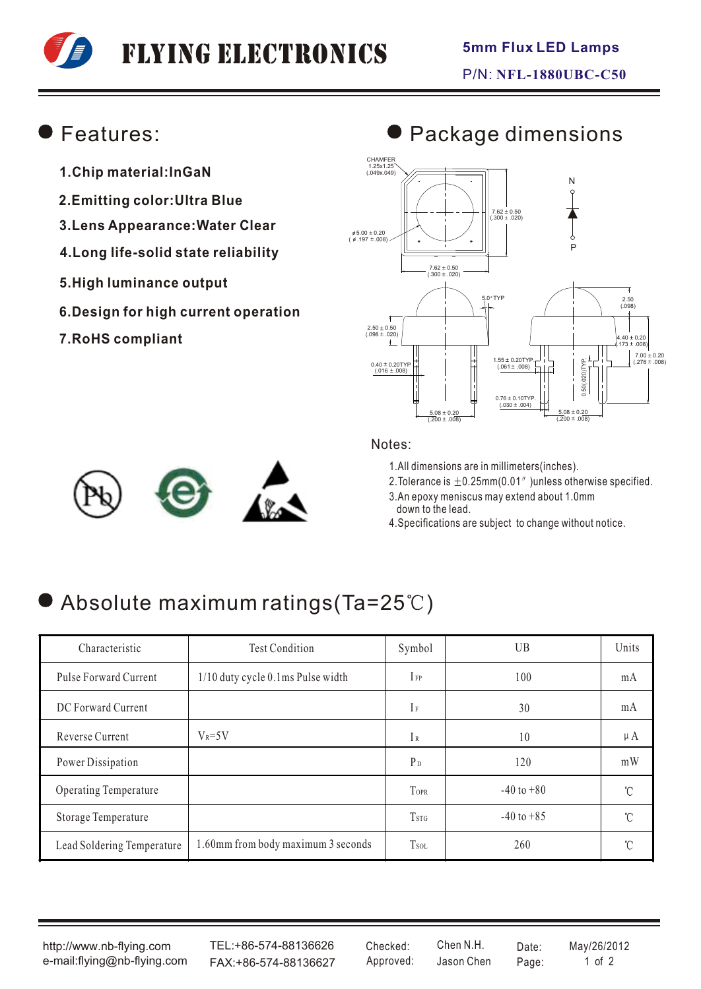# Flying Electronics

### Features:

- **1.Chip material:InGaN**
- **2.Emitting color:Ultra Blue**
- **3.Lens Appearance:Water Clear**
- **4.Long life-solid state reliability**
- **5.High luminance output**
- **6.Design for high current operation**
- **7.RoHS compliant**

#### $7.62 \pm 0.50$ <br>(.300  $\pm .020$ ) CHAMFER 1.25x1.25 (.049x.049) 5.00 ± 0.20 \$<br>( 197 ± .008 )  $2.50 \pm 0.50$ <br>(.098  $\pm$  .020) 5.0 TYP  $0.40 \pm 0.20$ TYE  $(0.016 \pm 0.008)$  $(4.40 \pm 0.20)$ <br> $(0.173 \pm 0.008)$  $7.00 \pm 0.20$ <br>(.276 ± .008)  $(0.201 \pm 0.008)$   $(0.061 \pm 0.008)$   $(0.061 \pm 0.008)$   $(0.076 \pm 0.008)$ 0.50(.020)TYP. 0.76 ± 0.10TYP.<br>(030 ± .004)  $\frac{5.08 \pm 0.20}{(.200 \pm .008)}$ 7.62 ± 0.50<br>(300 ± .020) 2.50 (.098)  $\frac{5.08 \pm 0.20}{(.200 \pm .008)}$ P N



### Notes:

1.All dimensions are in millimeters(inches).

2. Tolerance is  $\pm$  0.25mm(0.01" )unless otherwise specified.

- 3.An epoxy meniscus may extend about 1.0mm down to the lead.
- 4.Specifications are subject to change without notice.

# Absolute maximum ratings (Ta=25°C)

| Characteristic             | <b>Test Condition</b>              | Symbol                  | <b>UB</b>      | Units   |
|----------------------------|------------------------------------|-------------------------|----------------|---------|
| Pulse Forward Current      | 1/10 duty cycle 0.1ms Pulse width  | $I_{FP}$                | 100            | mA      |
| DC Forward Current         |                                    | $\mathbb{F}$            | 30             | mA      |
| Reverse Current            | $V_R = 5V$                         | IR                      | 10             | $\mu A$ |
| Power Dissipation          |                                    | $P_D$                   | 120            | mW      |
| Operating Temperature      |                                    | TOPR                    | $-40$ to $+80$ | °C      |
| Storage Temperature        |                                    | <b>T</b> <sub>STG</sub> | $-40$ to $+85$ | °C      |
| Lead Soldering Temperature | 1.60mm from body maximum 3 seconds | <b>T</b> sol            | 260            | °C      |

http://www.nb-flying.com e-mail:flying@nb-flying.com

TEL:+86-574-88136626 FAX:+86-574-88136627 Approved: Jason Chen Page: 1 of 2

Jason Chen Checked: Chen N.H. Date: May/26/2012

# **Package dimensions**